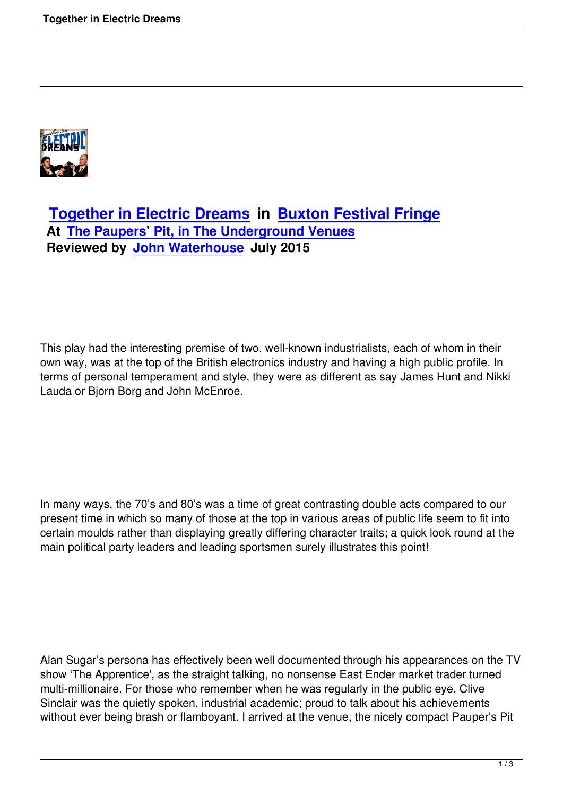

## **Together in Electric Dreams in Buxton Festival Fringe At The Paupers' Pit, in The Underground Venues [Reviewed by John Waterhouse J](together-in-electric-dreams.html)uly [2015](http://www.buxtonfringe.org.uk)**

This play had the interesting premise of two, well-known industrialists, each of whom in their own way, was at the top of the British electronics industry and having a high public profile. In terms of personal temperament and style, they were as different as say James Hunt and Nikki Lauda or Bjorn Borg and John McEnroe.

In many ways, the 70's and 80's was a time of great contrasting double acts compared to our present time in which so many of those at the top in various areas of public life seem to fit into certain moulds rather than displaying greatly differing character traits; a quick look round at the main political party leaders and leading sportsmen surely illustrates this point!

Alan Sugar's persona has effectively been well documented through his appearances on the TV show 'The Apprentice', as the straight talking, no nonsense East Ender market trader turned multi-millionaire. For those who remember when he was regularly in the public eye, Clive Sinclair was the quietly spoken, industrial academic; proud to talk about his achievements without ever being brash or flamboyant. I arrived at the venue, the nicely compact Pauper's Pit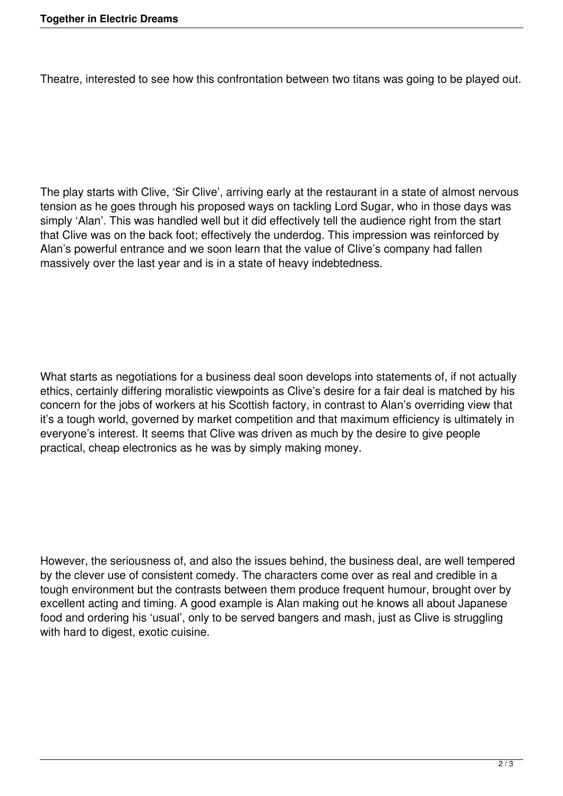Theatre, interested to see how this confrontation between two titans was going to be played out.

The play starts with Clive, 'Sir Clive', arriving early at the restaurant in a state of almost nervous tension as he goes through his proposed ways on tackling Lord Sugar, who in those days was simply 'Alan'. This was handled well but it did effectively tell the audience right from the start that Clive was on the back foot; effectively the underdog. This impression was reinforced by Alan's powerful entrance and we soon learn that the value of Clive's company had fallen massively over the last year and is in a state of heavy indebtedness.

What starts as negotiations for a business deal soon develops into statements of, if not actually ethics, certainly differing moralistic viewpoints as Clive's desire for a fair deal is matched by his concern for the jobs of workers at his Scottish factory, in contrast to Alan's overriding view that it's a tough world, governed by market competition and that maximum efficiency is ultimately in everyone's interest. It seems that Clive was driven as much by the desire to give people practical, cheap electronics as he was by simply making money.

However, the seriousness of, and also the issues behind, the business deal, are well tempered by the clever use of consistent comedy. The characters come over as real and credible in a tough environment but the contrasts between them produce frequent humour, brought over by excellent acting and timing. A good example is Alan making out he knows all about Japanese food and ordering his 'usual', only to be served bangers and mash, just as Clive is struggling with hard to digest, exotic cuisine.